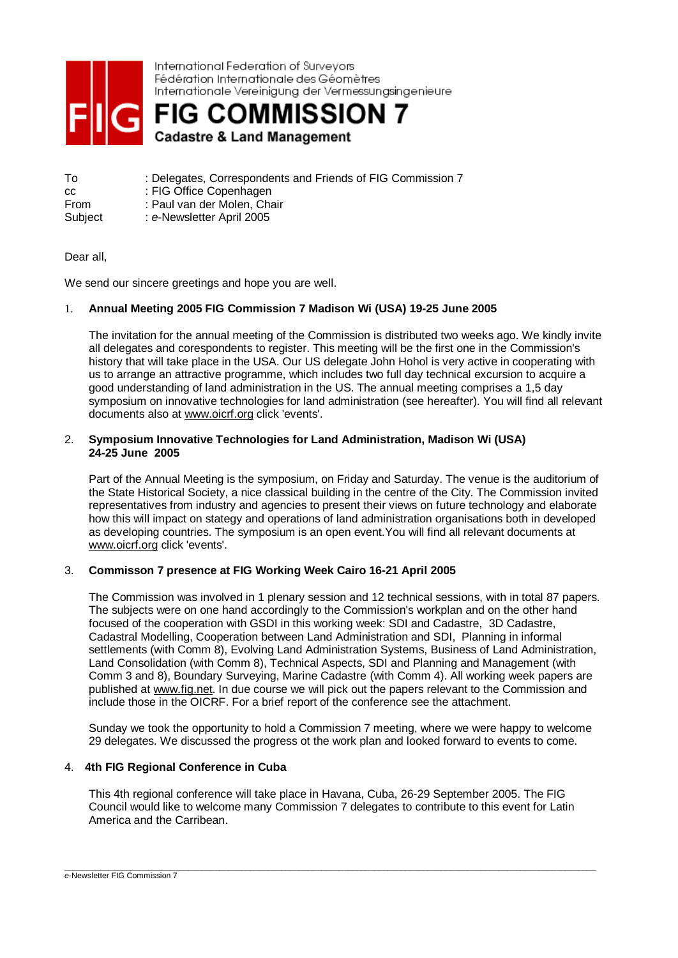

International Federation of Surveyors Fédération Internationale des Géomètres Internationale Vereinigung der Vermessungsingenieure

**FIG COMMISSION 7 Cadastre & Land Management** 

To : Delegates, Correspondents and Friends of FIG Commission 7 cc : FIG Office Copenhagen From : Paul van der Molen, Chair Subject : *e*-Newsletter April 2005

## Dear all,

We send our sincere greetings and hope you are well.

# 1. **Annual Meeting 2005 FIG Commission 7 Madison Wi (USA) 19-25 June 2005**

The invitation for the annual meeting of the Commission is distributed two weeks ago. We kindly invite all delegates and corespondents to register. This meeting will be the first one in the Commission's history that will take place in the USA. Our US delegate John Hohol is very active in cooperating with us to arrange an attractive programme, which includes two full day technical excursion to acquire a good understanding of land administration in the US. The annual meeting comprises a 1,5 day symposium on innovative technologies for land administration (see hereafter). You will find all relevant documents also at [www.oicrf.org](http://www.oicrf.org) click 'events'.

## 2. **Symposium Innovative Technologies for Land Administration, Madison Wi (USA) 24-25 June 2005**

Part of the Annual Meeting is the symposium, on Friday and Saturday. The venue is the auditorium of the State Historical Society, a nice classical building in the centre of the City. The Commission invited representatives from industry and agencies to present their views on future technology and elaborate how this will impact on stategy and operations of land administration organisations both in developed as developing countries. The symposium is an open event.You will find all relevant documents at [www.oicrf.org](http://www.oicrf.org) click 'events'.

# 3. **Commisson 7 presence at FIG Working Week Cairo 16-21 April 2005**

The Commission was involved in 1 plenary session and 12 technical sessions, with in total 87 papers. The subjects were on one hand accordingly to the Commission's workplan and on the other hand focused of the cooperation with GSDI in this working week: SDI and Cadastre, 3D Cadastre, Cadastral Modelling, Cooperation between Land Administration and SDI, Planning in informal settlements (with Comm 8), Evolving Land Administration Systems, Business of Land Administration, Land Consolidation (with Comm 8), Technical Aspects, SDI and Planning and Management (with Comm 3 and 8), Boundary Surveying, Marine Cadastre (with Comm 4). All working week papers are published at [www.fig.net](http://www.fig.net). In due course we will pick out the papers relevant to the Commission and include those in the OICRF. For a brief report of the conference see the attachment.

Sunday we took the opportunity to hold a Commission 7 meeting, where we were happy to welcome 29 delegates. We discussed the progress ot the work plan and looked forward to events to come.

# 4. **4th FIG Regional Conference in Cuba**

This 4th regional conference will take place in Havana, Cuba, 26-29 September 2005. The FIG Council would like to welcome many Commission 7 delegates to contribute to this event for Latin America and the Carribean.

\_\_\_\_\_\_\_\_\_\_\_\_\_\_\_\_\_\_\_\_\_\_\_\_\_\_\_\_\_\_\_\_\_\_\_\_\_\_\_\_\_\_\_\_\_\_\_\_\_\_\_\_\_\_\_\_\_\_\_\_\_\_\_\_\_\_\_\_\_\_\_\_\_\_\_\_\_\_\_\_\_\_\_\_\_\_\_\_\_\_\_\_\_\_\_\_\_\_\_\_\_\_\_\_\_\_\_\_\_\_\_\_\_\_\_\_\_\_\_\_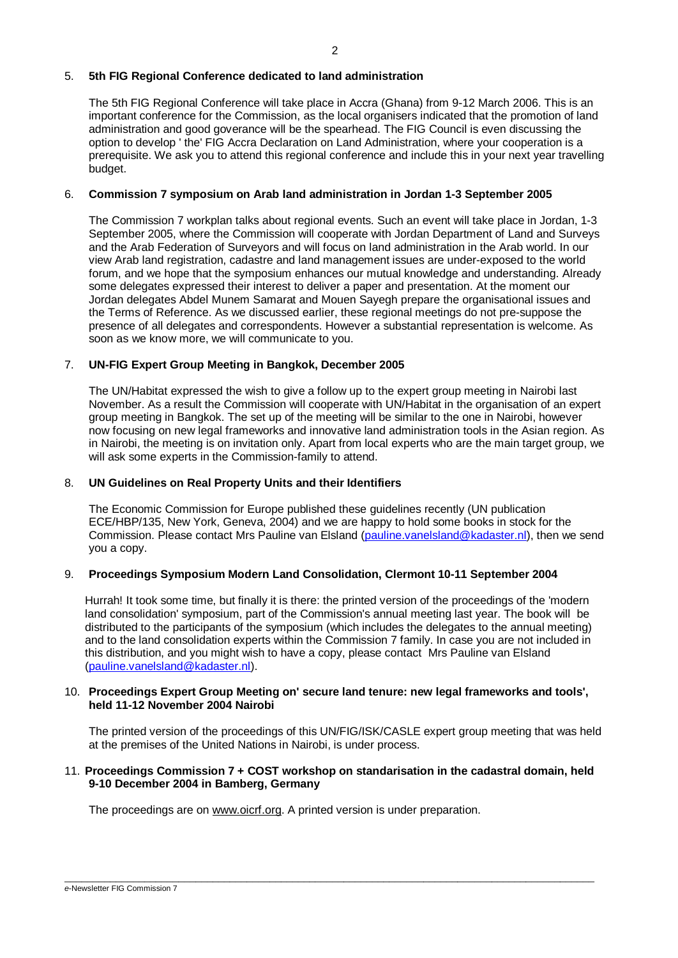### 5. **5th FIG Regional Conference dedicated to land administration**

The 5th FIG Regional Conference will take place in Accra (Ghana) from 9-12 March 2006. This is an important conference for the Commission, as the local organisers indicated that the promotion of land administration and good goverance will be the spearhead. The FIG Council is even discussing the option to develop ' the' FIG Accra Declaration on Land Administration, where your cooperation is a prerequisite. We ask you to attend this regional conference and include this in your next year travelling budget.

### 6. **Commission 7 symposium on Arab land administration in Jordan 1-3 September 2005**

The Commission 7 workplan talks about regional events. Such an event will take place in Jordan, 1-3 September 2005, where the Commission will cooperate with Jordan Department of Land and Surveys and the Arab Federation of Surveyors and will focus on land administration in the Arab world. In our view Arab land registration, cadastre and land management issues are under-exposed to the world forum, and we hope that the symposium enhances our mutual knowledge and understanding. Already some delegates expressed their interest to deliver a paper and presentation. At the moment our Jordan delegates Abdel Munem Samarat and Mouen Sayegh prepare the organisational issues and the Terms of Reference. As we discussed earlier, these regional meetings do not pre-suppose the presence of all delegates and correspondents. However a substantial representation is welcome. As soon as we know more, we will communicate to you.

# 7. **UN-FIG Expert Group Meeting in Bangkok, December 2005**

The UN/Habitat expressed the wish to give a follow up to the expert group meeting in Nairobi last November. As a result the Commission will cooperate with UN/Habitat in the organisation of an expert group meeting in Bangkok. The set up of the meeting will be similar to the one in Nairobi, however now focusing on new legal frameworks and innovative land administration tools in the Asian region. As in Nairobi, the meeting is on invitation only. Apart from local experts who are the main target group, we will ask some experts in the Commission-family to attend.

### 8. **UN Guidelines on Real Property Units and their Identifiers**

The Economic Commission for Europe published these guidelines recently (UN publication ECE/HBP/135, New York, Geneva, 2004) and we are happy to hold some books in stock for the Commission. Please contact Mrs Pauline van Elsland [\(pauline.vanelsland@kadaster.nl](mailto:pauline.vanelsland@kadaster.nl)), then we send you a copy.

## 9. **Proceedings Symposium Modern Land Consolidation, Clermont 10-11 September 2004**

Hurrah! It took some time, but finally it is there: the printed version of the proceedings of the 'modern land consolidation' symposium, part of the Commission's annual meeting last year. The book will be distributed to the participants of the symposium (which includes the delegates to the annual meeting) and to the land consolidation experts within the Commission 7 family. In case you are not included in this distribution, and you might wish to have a copy, please contact Mrs Pauline van Elsland ([pauline.vanelsland@kadaster.nl](mailto:pauline.vanelsland@kadaster.nl)).

## 10. **Proceedings Expert Group Meeting on' secure land tenure: new legal frameworks and tools', held 11-12 November 2004 Nairobi**

The printed version of the proceedings of this UN/FIG/ISK/CASLE expert group meeting that was held at the premises of the United Nations in Nairobi, is under process.

# 11. **Proceedings Commission 7 + COST workshop on standarisation in the cadastral domain, held 9-10 December 2004 in Bamberg, Germany**

 $\overline{\phantom{a}}$  , and the contribution of the contribution of the contribution of the contribution of the contribution of the contribution of the contribution of the contribution of the contribution of the contribution of the

The proceedings are on [www.oicrf.org](http://www.oicrf.org). A printed version is under preparation.